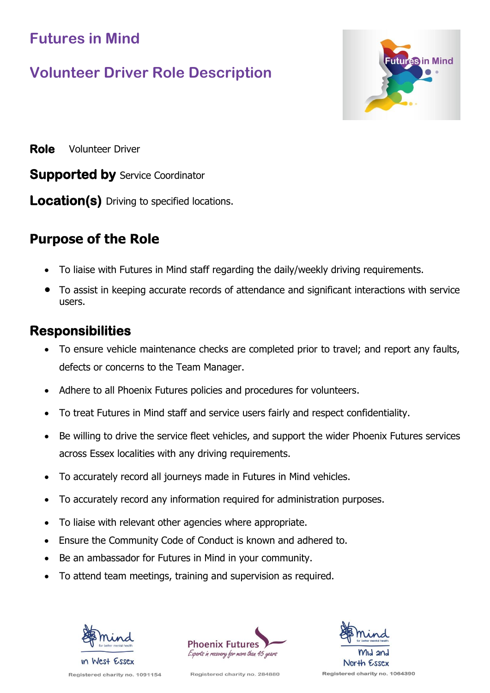## **Futures in Mind**

# **Volunteer Driver Role Description**



**Role** Volunteer Driver

**Supported by** Service Coordinator

**Location(s)** Driving to specified locations.

## **Purpose of the Role**

- To liaise with Futures in Mind staff regarding the daily/weekly driving requirements.
- To assist in keeping accurate records of attendance and significant interactions with service users.

#### **Responsibilities**

- To ensure vehicle maintenance checks are completed prior to travel; and report any faults, defects or concerns to the Team Manager.
- Adhere to all Phoenix Futures policies and procedures for volunteers.
- To treat Futures in Mind staff and service users fairly and respect confidentiality.
- Be willing to drive the service fleet vehicles, and support the wider Phoenix Futures services across Essex localities with any driving requirements.
- To accurately record all journeys made in Futures in Mind vehicles.
- To accurately record any information required for administration purposes.
- To liaise with relevant other agencies where appropriate.
- Ensure the Community Code of Conduct is known and adhered to.
- Be an ambassador for Futures in Mind in your community.
- To attend team meetings, training and supervision as required.







Registered charity no. 1091154

Registered charity no. 284880

Registered charity no. 1064390